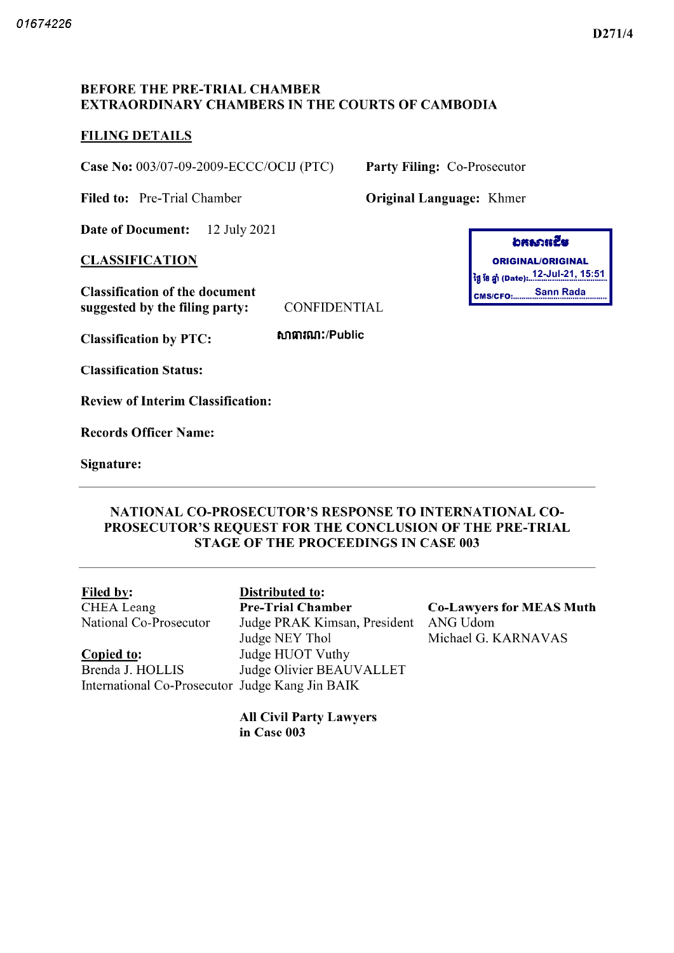### D271/4

## BEFORE THE PRE-TRIAL CHAMBER EXTRAORDINARY CHAMBERS IN THE COURTS OF CAMBODIA

## FILING DETAILS

Case No: 003/07-09-2009-ECCC/OCIJ (PTC) Party Filing: Co-Prosecutor

Filed to: Pre-Trial Chamber **Original Language:** Khmer

Date of Document: 12 July 2021

**CLASSIFICATION** 

Classification of the document suggested by the filing party: CONFIDENTIAL

WltmiUir Public

Classification Status

Classification by PTC

Review of Interim Classification

Records Officer Name

Signature

| อสธาหรีย                 |                                        |  |  |
|--------------------------|----------------------------------------|--|--|
| <b>ORIGINAL/ORIGINAL</b> |                                        |  |  |
|                          | ថ្ងៃ ខែ ឆ្នាំ (Date): 12-Jul-21, 15:51 |  |  |
|                          | CMS/CFO: Sann Rada                     |  |  |

NATIONAL CO PROSECUTOR'S RESPONSE TO INTERNATIONAL CO-PROSECUTOR'S REQUEST FOR THE CONCLUSION OF THE PRE-TRIAL STAGE OF THE PROCEEDINGS IN CASE <sup>003</sup>

Filed by: Distributed to: CHEA Leang National Co-Prosecutor

Copied to: Brenda J. HOLLIS International Co Prosecutor Judge Kang Jin BAIK

Pre-Trial Chamber Co-Lawyers for MEAS Muth Judge PRAK Kimsan, President ANG Udom Judge NEY Thol Judge HUOT Vuthy Judge Olivier BEAUVALLET

Michael G. KARNAVAS

All Civil Party Lawyers in Case 003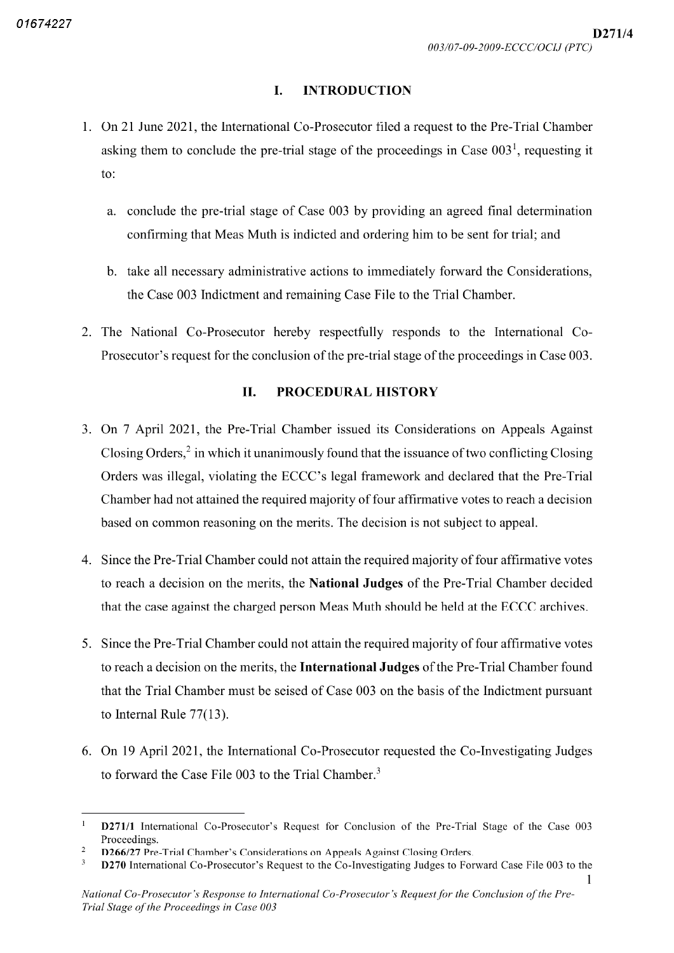#### I. INTRODUCTION

- 1. On 21 June 2021, the International Co-Prosecutor filed a request to the Pre-Trial Chamber asking them to conclude the pre-trial stage of the proceedings in Case  $003^{\degree}$ , requesting it to
	- a. conclude the pre trial stage of Case 003 by providing an agreed final determination confirming that Meas Muth is indicted and ordering him to be sent for trial; and
	- take all necessary administrative actions to immediately forward the Considerations the Case 003 Indictment and remaining Case File to the Trial Chamber
- 2. The National Co-Prosecutor hereby respectfully responds to the International Co-Prosecutor's request for the conclusion of the pre trial stage of the proceedings in Case 003

### II. PROCEDURAL HISTORY

- 3. On 7 April 2021, the Pre-Trial Chamber issued its Considerations on Appeals Against Closing Orders, $\frac{2}{3}$  in which it unanimously found that the issuance of two conflicting Closing Orders was illegal, violating the ECCC's legal framework and declared that the Pre-Trial Chamber had not attained the required majority of four affirmative votes to reach a decision based on common reasoning on the merits. The decision is not subject to appeal.
- 4. Since the Pre-Trial Chamber could not attain the required majority of four affirmative votes to reach a decision on the merits, the **National Judges** of the Pre-Trial Chamber decided that the case against the charged person Meas Muth should be held at the ECCC archives
- Since the Pre Trial Chamber could not attain the required majority of four affirmative votes to reach a decision on the merits, the International Judges of the Pre-Trial Chamber found that the Trial Chamber must be seised of Case 003 on the basis of the Indictment pursuant to Internal Rule  $77(13)$ .
- 6. On 19 April 2021, the International Co-Prosecutor requested the Co-Investigating Judges to forward the Case File 003 to the Trial Chamber.<sup>3</sup>

 $\mathbf{1}$ D271/1 International Co-Prosecutor's Request for Conclusion of the Pre-Trial Stage of the Case 003 Proceedings

 $\overline{c}$ D266/27 Pre-Trial Chamber's Considerations on Appeals Against Closing Orders.

D270 International Co-Prosecutor's Request to the Co-Investigating Judges to Forward Case File 003 to the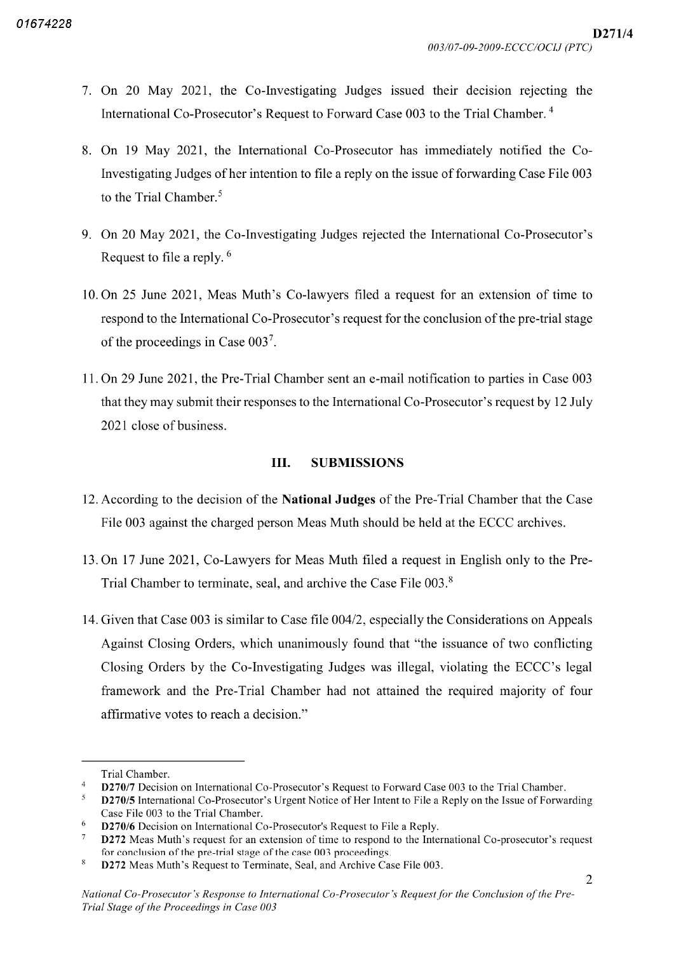- 7. On 20 May 2021, the Co-Investigating Judges issued their decision rejecting the International Co-Prosecutor's Request to Forward Case 003 to the Trial Chamber.<sup>4</sup>
- 8. On 19 May 2021, the International Co-Prosecutor has immediately notified the Co-Investigating Judges of her intention to file a reply on the issue of forwarding Case File 003 to the Trial Chamber.<sup>5</sup>
- 9. On 20 May 2021, the Co-Investigating Judges rejected the International Co-Prosecutor's Request to file a reply.  $6$
- 10. On 25 June 2021, Meas Muth's Co-lawyers filed a request for an extension of time to respond to the International Co-Prosecutor's request for the conclusion of the pre-trial stage of the proceedings in Case 003<sup>7</sup>.
- 11. On 29 June 2021, the Pre-Trial Chamber sent an e-mail notification to parties in Case 003 that they may submit their responses to the International Co Prosecutor's request by <sup>12</sup> July 2021 close of business

## III. SUBMISSIONS

- <sup>12</sup> According to the decision of the National Judges of the Pre Trial Chamber that the Case File 003 against the charged person Meas Muth should be held at the ECCC archives
- 13. On 17 June 2021, Co-Lawyers for Meas Muth filed a request in English only to the Pre-Trial Chamber to terminate, seal, and archive the Case File  $003<sup>8</sup>$
- 14. Given that Case 003 is similar to Case file 004/2, especially the Considerations on Appeals Against Closing Orders, which unanimously found that "the issuance of two conflicting Closing Orders by the Co-Investigating Judges was illegal, violating the ECCC's legal framework and the Pre-Trial Chamber had not attained the required majority of four affirmative votes to reach a decision."

Trial Chamber

D270/7 Decision on International Co-Prosecutor's Request to Forward Case 003 to the Trial Chamber.

 $\sqrt{5}$ D270/5 International Co-Prosecutor's Urgent Notice of Her Intent to File a Reply on the Issue of Forwarding Case File 003 to the Trial Chamber

<sup>6</sup> D270/6 Decision on International Co-Prosecutor's Request to File a Reply.

 $\tau$ D272 Meas Muth's request for an extension of time to respond to the International Co-prosecutor's request for conclusion of the pre trial stage of the case 003 proceedings

 $\,$  8  $\,$ D272 Meas Muth's Request to Terminate, Seal, and Archive Case File 003.